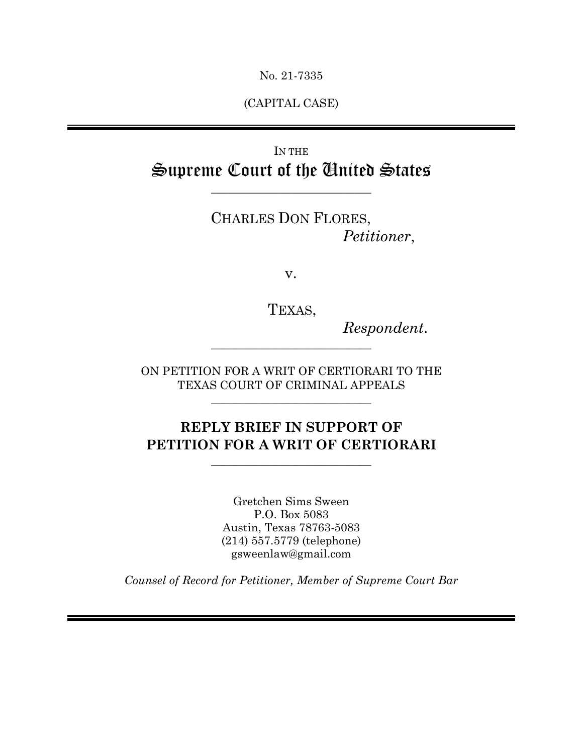No. 21-7335

(CAPITAL CASE)

# IN THE Supreme Court of the United States

 $\overline{\phantom{a}}$  , where  $\overline{\phantom{a}}$  , where  $\overline{\phantom{a}}$  , where  $\overline{\phantom{a}}$  , where  $\overline{\phantom{a}}$ 

CHARLES DON FLORES, *Petitioner*,

v.

TEXAS,

 $Respondent.$ 

ON PETITION FOR A WRIT OF CERTIORARI TO THE TEXAS COURT OF CRIMINAL APPEALS

 $\overline{\phantom{a}}$  , where  $\overline{\phantom{a}}$  , where  $\overline{\phantom{a}}$  , where  $\overline{\phantom{a}}$  , where  $\overline{\phantom{a}}$ 

# **REPLY BRIEF IN SUPPORT OF PETITION FOR A WRIT OF CERTIORARI**

 $\overline{\phantom{a}}$  , where  $\overline{\phantom{a}}$  , where  $\overline{\phantom{a}}$  ,  $\overline{\phantom{a}}$  ,  $\overline{\phantom{a}}$  ,  $\overline{\phantom{a}}$  ,  $\overline{\phantom{a}}$  ,  $\overline{\phantom{a}}$  ,  $\overline{\phantom{a}}$  ,  $\overline{\phantom{a}}$  ,  $\overline{\phantom{a}}$  ,  $\overline{\phantom{a}}$  ,  $\overline{\phantom{a}}$  ,  $\overline{\phantom{a}}$  ,  $\overline{\phantom{a}}$  ,

Gretchen Sims Sween P.O. Box 5083 Austin, Texas 78763-5083 (214) 557.5779 (telephone) gsweenlaw@gmail.com

*Counsel of Record for Petitioner, Member of Supreme Court Bar*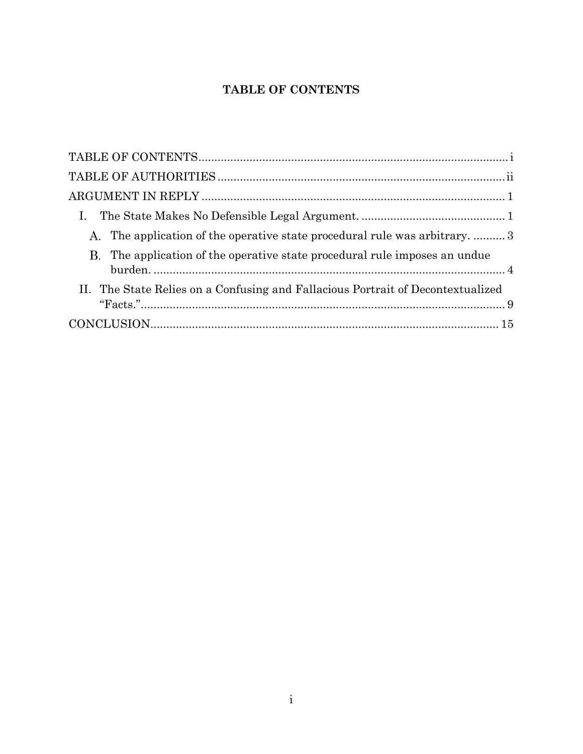## **TABLE OF CONTENTS**

<span id="page-1-0"></span>

| A. The application of the operative state procedural rule was arbitrary.  3     |
|---------------------------------------------------------------------------------|
| B. The application of the operative state procedural rule imposes an undue      |
| II. The State Relies on a Confusing and Fallacious Portrait of Decontextualized |
|                                                                                 |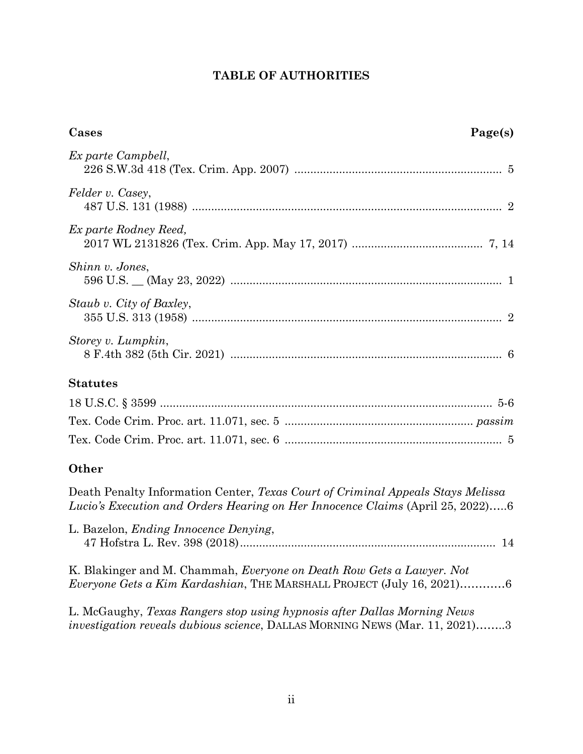## **TABLE OF AUTHORITIES**

<span id="page-2-0"></span>

| Page(s)<br>Cases                                                                                                                                                  |
|-------------------------------------------------------------------------------------------------------------------------------------------------------------------|
| Ex parte Campbell,                                                                                                                                                |
| Felder v. Casey,                                                                                                                                                  |
| Ex parte Rodney Reed,                                                                                                                                             |
| Shinn v. Jones,                                                                                                                                                   |
| Staub v. City of Baxley,                                                                                                                                          |
| Storey v. Lumpkin,                                                                                                                                                |
| <b>Statutes</b>                                                                                                                                                   |
|                                                                                                                                                                   |
|                                                                                                                                                                   |
|                                                                                                                                                                   |
| <b>Other</b>                                                                                                                                                      |
| Death Penalty Information Center, Texas Court of Criminal Appeals Stays Melissa<br>Lucio's Execution and Orders Hearing on Her Innocence Claims (April 25, 2022)6 |
| L. Bazelon, <i>Ending Innocence Denying</i> ,<br>14                                                                                                               |
| K. Blakinger and M. Chammah, Everyone on Death Row Gets a Lawyer. Not<br><i>Everyone Gets a Kim Kardashian</i> , THE MARSHALL PROJECT (July 16, 2021)6            |
| L. McGaughy, Texas Rangers stop using hypnosis after Dallas Morning News<br><i>investigation reveals dubious science</i> , DALLAS MORNING NEWS (Mar. 11, 2021)3   |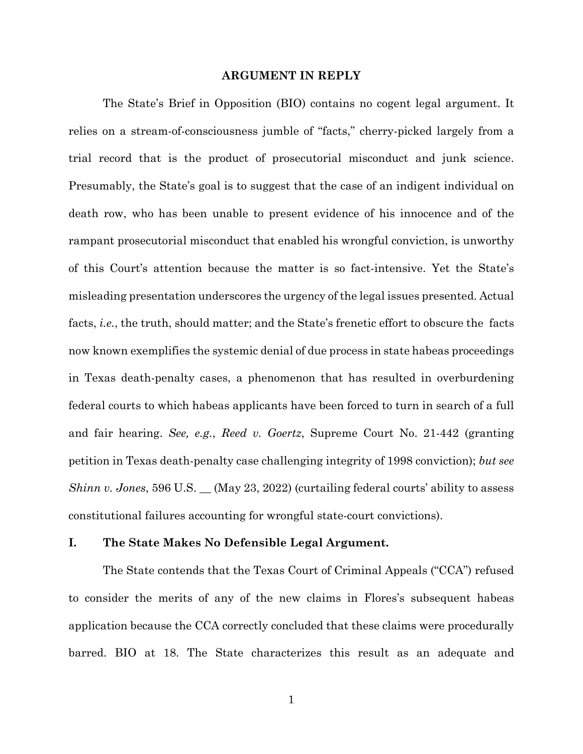### **ARGUMENT IN REPLY**

<span id="page-3-0"></span>The State's Brief in Opposition (BIO) contains no cogent legal argument. It relies on a stream-of-consciousness jumble of "facts," cherry-picked largely from a trial record that is the product of prosecutorial misconduct and junk science. Presumably, the State's goal is to suggest that the case of an indigent individual on death row, who has been unable to present evidence of his innocence and of the rampant prosecutorial misconduct that enabled his wrongful conviction, is unworthy of this Court's attention because the matter is so fact-intensive. Yet the State's misleading presentation underscores the urgency of the legal issues presented. Actual facts, *i.e.*, the truth, should matter; and the State's frenetic effort to obscure the facts now known exemplifies the systemic denial of due process in state habeas proceedings in Texas death-penalty cases, a phenomenon that has resulted in overburdening federal courts to which habeas applicants have been forced to turn in search of a full and fair hearing. *See, e.g.*, *Reed v. Goertz*, Supreme Court No. 21-442 (granting petition in Texas death-penalty case challenging integrity of 1998 conviction); *but see Shinn v. Jones*, 596 U.S.  $\_\_$  (May 23, 2022) (curtailing federal courts' ability to assess constitutional failures accounting for wrongful state-court convictions).

### <span id="page-3-1"></span>**I. The State Makes No Defensible Legal Argument.**

The State contends that the Texas Court of Criminal Appeals ("CCA") refused to consider the merits of any of the new claims in Flores's subsequent habeas application because the CCA correctly concluded that these claims were procedurally barred. BIO at 18. The State characterizes this result as an adequate and

<span id="page-3-2"></span>1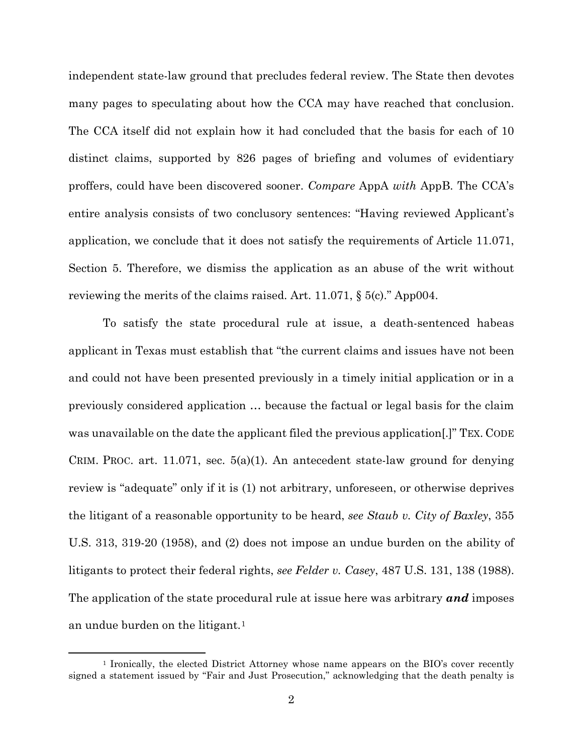independent state-law ground that precludes federal review. The State then devotes many pages to speculating about how the CCA may have reached that conclusion. The CCA itself did not explain how it had concluded that the basis for each of 10 distinct claims, supported by 826 pages of briefing and volumes of evidentiary proffers, could have been discovered sooner. *Compare* AppA *with* AppB. The CCA's entire analysis consists of two conclusory sentences: "Having reviewed Applicant's application, we conclude that it does not satisfy the requirements of Article 11.071, Section 5. Therefore, we dismiss the application as an abuse of the writ without reviewing the merits of the claims raised. Art. 11.071,  $\S$  5(c)." App004.

<span id="page-4-2"></span>To satisfy the state procedural rule at issue, a death-sentenced habeas applicant in Texas must establish that "the current claims and issues have not been and could not have been presented previously in a timely initial application or in a previously considered application … because the factual or legal basis for the claim was unavailable on the date the applicant filed the previous application[.]" TEX. CODE CRIM. PROC. art. 11.071, sec.  $5(a)(1)$ . An antecedent state-law ground for denying review is "adequate" only if it is (1) not arbitrary, unforeseen, or otherwise deprives the litigant of a reasonable opportunity to be heard, *see Staub v. City of Baxley*, 355 U.S. 313, 319-20 (1958), and (2) does not impose an undue burden on the ability of litigants to protect their federal rights, *see Felder v. Casey*, 487 U.S. 131, 138 (1988). The application of the state procedural rule at issue here was arbitrary *and* imposes an undue burden on the litigant.[1](#page-4-3)

<span id="page-4-3"></span><span id="page-4-1"></span><span id="page-4-0"></span><sup>1</sup> Ironically, the elected District Attorney whose name appears on the BIO's cover recently signed a statement issued by "Fair and Just Prosecution," acknowledging that the death penalty is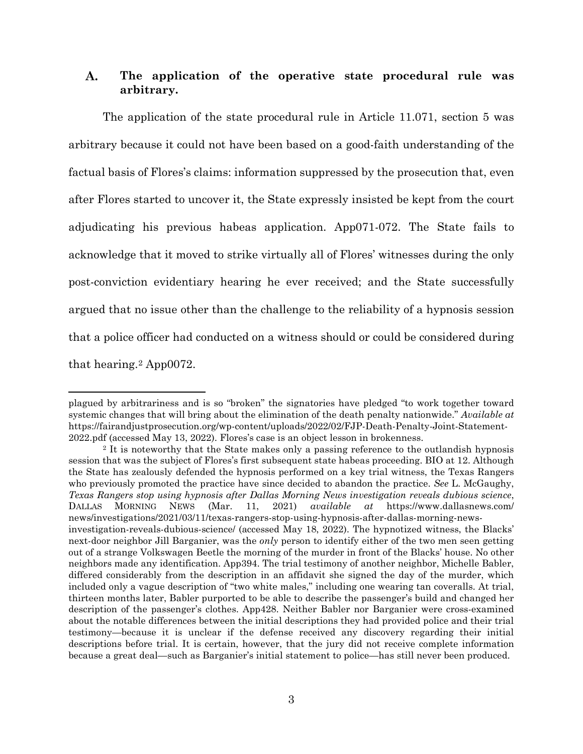#### <span id="page-5-0"></span>A. **The application of the operative state procedural rule was arbitrary.**

The application of the state procedural rule in Article 11.071, section 5 was arbitrary because it could not have been based on a good-faith understanding of the factual basis of Flores's claims: information suppressed by the prosecution that, even after Flores started to uncover it, the State expressly insisted be kept from the court adjudicating his previous habeas application. App071-072. The State fails to acknowledge that it moved to strike virtually all of Flores' witnesses during the only post-conviction evidentiary hearing he ever received; and the State successfully argued that no issue other than the challenge to the reliability of a hypnosis session that a police officer had conducted on a witness should or could be considered during that hearing[.2](#page-5-1) App0072.

plagued by arbitrariness and is so "broken" the signatories have pledged "to work together toward systemic changes that will bring about the elimination of the death penalty nationwide." *Available at* https://fairandjustprosecution.org/wp-content/uploads/2022/02/FJP-Death-Penalty-Joint-Statement-2022.pdf (accessed May 13, 2022). Flores's case is an object lesson in brokenness.

<span id="page-5-1"></span><sup>2</sup> It is noteworthy that the State makes only a passing reference to the outlandish hypnosis session that was the subject of Flores's first subsequent state habeas proceeding. BIO at 12. Although the State has zealously defended the hypnosis performed on a key trial witness, the Texas Rangers who previously promoted the practice have since decided to abandon the practice. *See* L. McGaughy, *Texas Rangers stop using hypnosis after Dallas Morning News investigation reveals dubious science*, DALLAS MORNING NEWS (Mar. 11, 2021) *available at* https://www.dallasnews.com/ news/investigations/2021/03/11/texas-rangers-stop-using-hypnosis-after-dallas-morning-newsinvestigation-reveals-dubious-science/ (accessed May 18, 2022). The hypnotized witness, the Blacks' next-door neighbor Jill Barganier, was the *only* person to identify either of the two men seen getting out of a strange Volkswagen Beetle the morning of the murder in front of the Blacks' house. No other neighbors made any identification. App394. The trial testimony of another neighbor, Michelle Babler, differed considerably from the description in an affidavit she signed the day of the murder, which included only a vague description of "two white males," including one wearing tan coveralls. At trial, thirteen months later, Babler purported to be able to describe the passenger's build and changed her description of the passenger's clothes. App428. Neither Babler nor Barganier were cross-examined about the notable differences between the initial descriptions they had provided police and their trial testimony—because it is unclear if the defense received any discovery regarding their initial descriptions before trial. It is certain, however, that the jury did not receive complete information because a great deal—such as Barganier's initial statement to police—has still never been produced.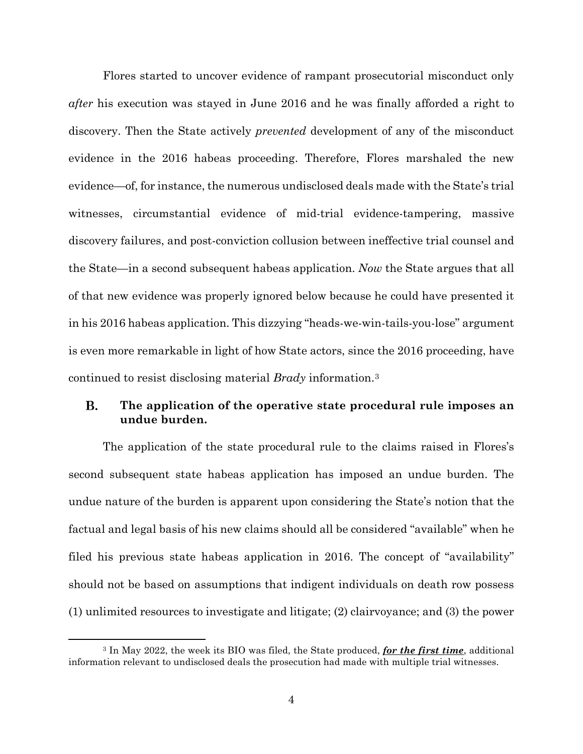Flores started to uncover evidence of rampant prosecutorial misconduct only *after* his execution was stayed in June 2016 and he was finally afforded a right to discovery. Then the State actively *prevented* development of any of the misconduct evidence in the 2016 habeas proceeding. Therefore, Flores marshaled the new evidence—of, for instance, the numerous undisclosed deals made with the State's trial witnesses, circumstantial evidence of mid-trial evidence-tampering, massive discovery failures, and post-conviction collusion between ineffective trial counsel and the State—in a second subsequent habeas application. *Now* the State argues that all of that new evidence was properly ignored below because he could have presented it in his 2016 habeas application. This dizzying "heads-we-win-tails-you-lose" argument is even more remarkable in light of how State actors, since the 2016 proceeding, have continued to resist disclosing material *Brady* information.[3](#page-6-1)

#### <span id="page-6-0"></span>В. **The application of the operative state procedural rule imposes an undue burden.**

The application of the state procedural rule to the claims raised in Flores's second subsequent state habeas application has imposed an undue burden. The undue nature of the burden is apparent upon considering the State's notion that the factual and legal basis of his new claims should all be considered "available" when he filed his previous state habeas application in 2016. The concept of "availability" should not be based on assumptions that indigent individuals on death row possess (1) unlimited resources to investigate and litigate; (2) clairvoyance; and (3) the power

<span id="page-6-1"></span><sup>3</sup> In May 2022, the week its BIO was filed, the State produced, *for the first time*, additional information relevant to undisclosed deals the prosecution had made with multiple trial witnesses.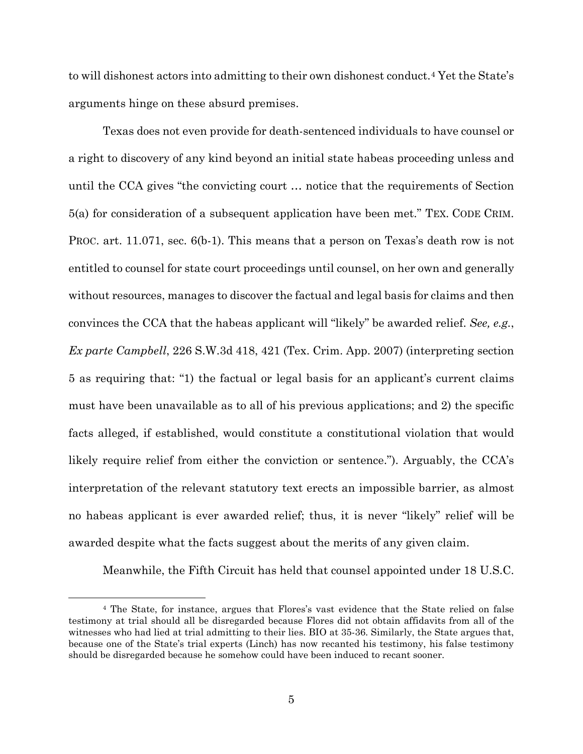to will dishonest actors into admitting to their own dishonest conduct.[4](#page-7-3) Yet the State's arguments hinge on these absurd premises.

<span id="page-7-2"></span>Texas does not even provide for death-sentenced individuals to have counsel or a right to discovery of any kind beyond an initial state habeas proceeding unless and until the CCA gives "the convicting court … notice that the requirements of Section 5(a) for consideration of a subsequent application have been met." TEX. CODE CRIM. PROC. art. 11.071, sec. 6(b-1). This means that a person on Texas's death row is not entitled to counsel for state court proceedings until counsel, on her own and generally without resources, manages to discover the factual and legal basis for claims and then convinces the CCA that the habeas applicant will "likely" be awarded relief. *See, e.g.*, *Ex parte Campbell*, 226 S.W.3d 418, 421 (Tex. Crim. App. 2007) (interpreting section 5 as requiring that: "1) the factual or legal basis for an applicant's current claims must have been unavailable as to all of his previous applications; and 2) the specific facts alleged, if established, would constitute a constitutional violation that would likely require relief from either the conviction or sentence."). Arguably, the CCA's interpretation of the relevant statutory text erects an impossible barrier, as almost no habeas applicant is ever awarded relief; thus, it is never "likely" relief will be awarded despite what the facts suggest about the merits of any given claim.

<span id="page-7-1"></span><span id="page-7-0"></span>Meanwhile, the Fifth Circuit has held that counsel appointed under 18 U.S.C.

<span id="page-7-3"></span><sup>4</sup> The State, for instance, argues that Flores's vast evidence that the State relied on false testimony at trial should all be disregarded because Flores did not obtain affidavits from all of the witnesses who had lied at trial admitting to their lies. BIO at 35-36. Similarly, the State argues that, because one of the State's trial experts (Linch) has now recanted his testimony, his false testimony should be disregarded because he somehow could have been induced to recant sooner.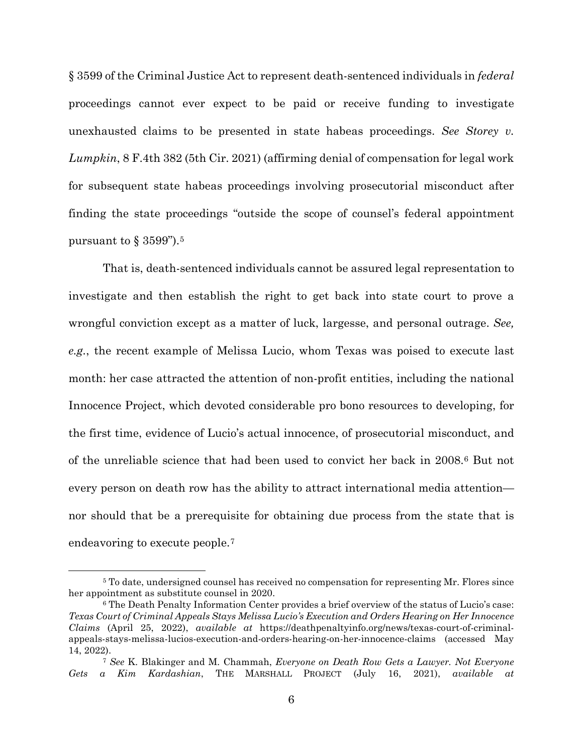<span id="page-8-0"></span>§ 3599 of the Criminal Justice Act to represent death-sentenced individuals in *federal* proceedings cannot ever expect to be paid or receive funding to investigate unexhausted claims to be presented in state habeas proceedings. *See Storey v. Lumpkin*, 8 F.4th 382 (5th Cir. 2021) (affirming denial of compensation for legal work for subsequent state habeas proceedings involving prosecutorial misconduct after finding the state proceedings "outside the scope of counsel's federal appointment pursuant to  $\S 3599$  $\S 3599$  $\S 3599$ ").<sup>5</sup>

That is, death-sentenced individuals cannot be assured legal representation to investigate and then establish the right to get back into state court to prove a wrongful conviction except as a matter of luck, largesse, and personal outrage. *See, e.g.*, the recent example of Melissa Lucio, whom Texas was poised to execute last month: her case attracted the attention of non-profit entities, including the national Innocence Project, which devoted considerable pro bono resources to developing, for the first time, evidence of Lucio's actual innocence, of prosecutorial misconduct, and of the unreliable science that had been used to convict her back in 2008.[6](#page-8-2) But not every person on death row has the ability to attract international media attention nor should that be a prerequisite for obtaining due process from the state that is endeavoring to execute people.[7](#page-8-3)

<span id="page-8-1"></span><sup>&</sup>lt;sup>5</sup> To date, undersigned counsel has received no compensation for representing Mr. Flores since her appointment as substitute counsel in 2020.

<span id="page-8-2"></span><sup>6</sup> The Death Penalty Information Center provides a brief overview of the status of Lucio's case: *Texas Court of Criminal Appeals Stays Melissa Lucio's Execution and Orders Hearing on Her Innocence Claims* (April 25, 2022), *available at* https://deathpenaltyinfo.org/news/texas-court-of-criminalappeals-stays-melissa-lucios-execution-and-orders-hearing-on-her-innocence-claims (accessed May 14, 2022).

<span id="page-8-3"></span><sup>7</sup> *See* K. Blakinger and M. Chammah, *Everyone on Death Row Gets a Lawyer. Not Everyone Gets a Kim Kardashian*, THE MARSHALL PROJECT (July 16, 2021), *available at*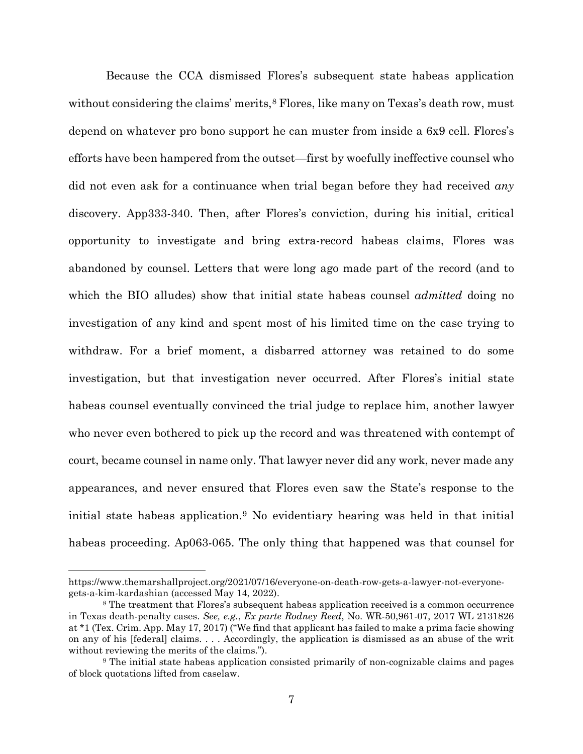Because the CCA dismissed Flores's subsequent state habeas application without considering the claims' merits, $8$  Flores, like many on Texas's death row, must depend on whatever pro bono support he can muster from inside a 6x9 cell. Flores's efforts have been hampered from the outset—first by woefully ineffective counsel who did not even ask for a continuance when trial began before they had received *any* discovery. App333-340. Then, after Flores's conviction, during his initial, critical opportunity to investigate and bring extra-record habeas claims, Flores was abandoned by counsel. Letters that were long ago made part of the record (and to which the BIO alludes) show that initial state habeas counsel *admitted* doing no investigation of any kind and spent most of his limited time on the case trying to withdraw. For a brief moment, a disbarred attorney was retained to do some investigation, but that investigation never occurred. After Flores's initial state habeas counsel eventually convinced the trial judge to replace him, another lawyer who never even bothered to pick up the record and was threatened with contempt of court, became counsel in name only. That lawyer never did any work, never made any appearances, and never ensured that Flores even saw the State's response to the initial state habeas application.[9](#page-9-2) No evidentiary hearing was held in that initial habeas proceeding. Ap063-065. The only thing that happened was that counsel for

https://www.themarshallproject.org/2021/07/16/everyone-on-death-row-gets-a-lawyer-not-everyonegets-a-kim-kardashian (accessed May 14, 2022).

<span id="page-9-1"></span><span id="page-9-0"></span><sup>8</sup> The treatment that Flores's subsequent habeas application received is a common occurrence in Texas death-penalty cases. *See, e.g.*, *Ex parte Rodney Reed*, No. WR-50,961-07, 2017 WL 2131826 at \*1 (Tex. Crim. App. May 17, 2017) ("We find that applicant has failed to make a prima facie showing on any of his [federal] claims. . . . Accordingly, the application is dismissed as an abuse of the writ without reviewing the merits of the claims.").

<span id="page-9-2"></span><sup>9</sup> The initial state habeas application consisted primarily of non-cognizable claims and pages of block quotations lifted from caselaw.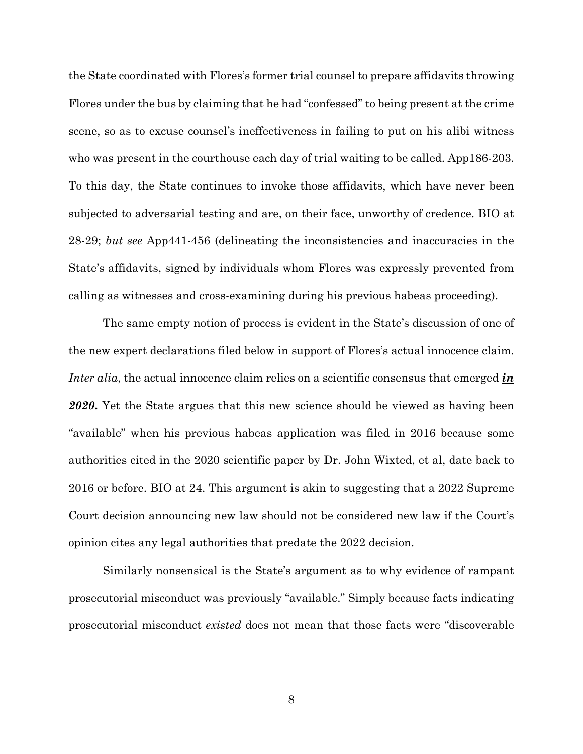the State coordinated with Flores's former trial counsel to prepare affidavits throwing Flores under the bus by claiming that he had "confessed" to being present at the crime scene, so as to excuse counsel's ineffectiveness in failing to put on his alibi witness who was present in the courthouse each day of trial waiting to be called. App186-203. To this day, the State continues to invoke those affidavits, which have never been subjected to adversarial testing and are, on their face, unworthy of credence. BIO at 28-29; *but see* App441-456 (delineating the inconsistencies and inaccuracies in the State's affidavits, signed by individuals whom Flores was expressly prevented from calling as witnesses and cross-examining during his previous habeas proceeding).

The same empty notion of process is evident in the State's discussion of one of the new expert declarations filed below in support of Flores's actual innocence claim. *Inter alia*, the actual innocence claim relies on a scientific consensus that emerged *in 2020***.** Yet the State argues that this new science should be viewed as having been "available" when his previous habeas application was filed in 2016 because some authorities cited in the 2020 scientific paper by Dr. John Wixted, et al, date back to 2016 or before. BIO at 24. This argument is akin to suggesting that a 2022 Supreme Court decision announcing new law should not be considered new law if the Court's opinion cites any legal authorities that predate the 2022 decision.

Similarly nonsensical is the State's argument as to why evidence of rampant prosecutorial misconduct was previously "available." Simply because facts indicating prosecutorial misconduct *existed* does not mean that those facts were "discoverable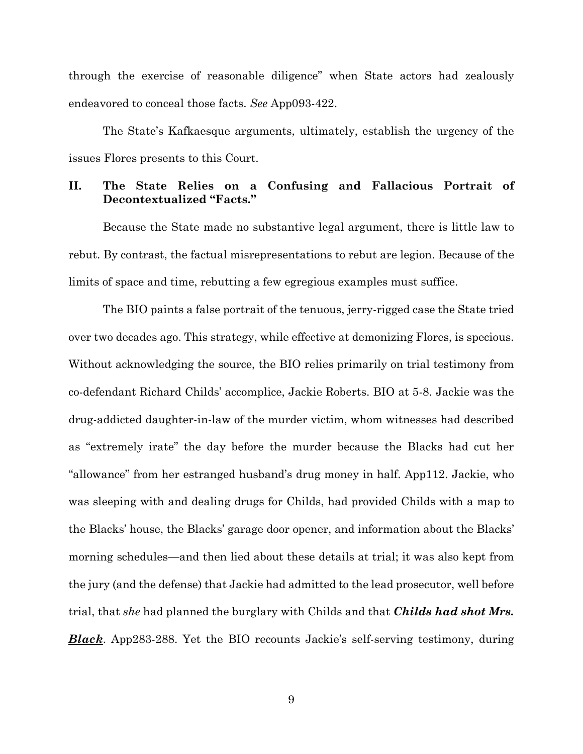through the exercise of reasonable diligence" when State actors had zealously endeavored to conceal those facts. *See* App093-422.

The State's Kafkaesque arguments, ultimately, establish the urgency of the issues Flores presents to this Court.

## <span id="page-11-0"></span>**II. The State Relies on a Confusing and Fallacious Portrait of Decontextualized "Facts."**

Because the State made no substantive legal argument, there is little law to rebut. By contrast, the factual misrepresentations to rebut are legion. Because of the limits of space and time, rebutting a few egregious examples must suffice.

The BIO paints a false portrait of the tenuous, jerry-rigged case the State tried over two decades ago. This strategy, while effective at demonizing Flores, is specious. Without acknowledging the source, the BIO relies primarily on trial testimony from co-defendant Richard Childs' accomplice, Jackie Roberts. BIO at 5-8. Jackie was the drug-addicted daughter-in-law of the murder victim, whom witnesses had described as "extremely irate" the day before the murder because the Blacks had cut her "allowance" from her estranged husband's drug money in half. App112. Jackie, who was sleeping with and dealing drugs for Childs, had provided Childs with a map to the Blacks' house, the Blacks' garage door opener, and information about the Blacks' morning schedules—and then lied about these details at trial; it was also kept from the jury (and the defense) that Jackie had admitted to the lead prosecutor, well before trial, that *she* had planned the burglary with Childs and that *Childs had shot Mrs. Black*. App283-288. Yet the BIO recounts Jackie's self-serving testimony, during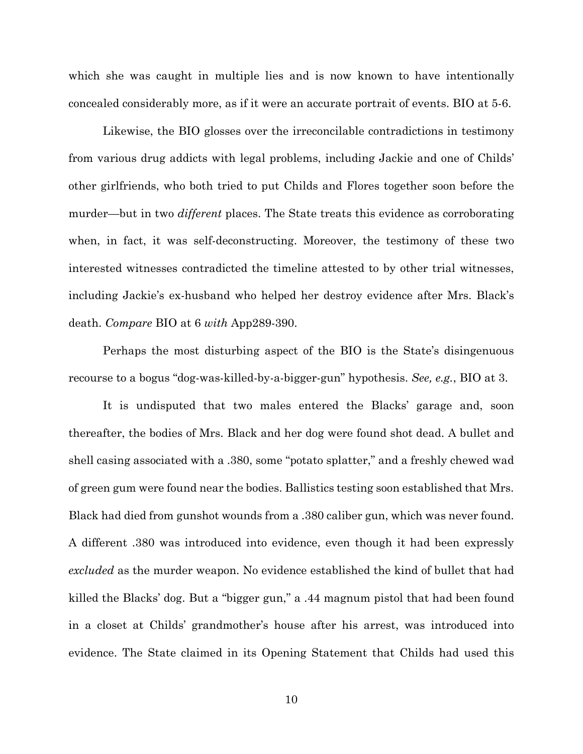which she was caught in multiple lies and is now known to have intentionally concealed considerably more, as if it were an accurate portrait of events. BIO at 5-6.

Likewise, the BIO glosses over the irreconcilable contradictions in testimony from various drug addicts with legal problems, including Jackie and one of Childs' other girlfriends, who both tried to put Childs and Flores together soon before the murder—but in two *different* places. The State treats this evidence as corroborating when, in fact, it was self-deconstructing. Moreover, the testimony of these two interested witnesses contradicted the timeline attested to by other trial witnesses, including Jackie's ex-husband who helped her destroy evidence after Mrs. Black's death. *Compare* BIO at 6 *with* App289-390.

Perhaps the most disturbing aspect of the BIO is the State's disingenuous recourse to a bogus "dog-was-killed-by-a-bigger-gun" hypothesis. *See, e.g.*, BIO at 3.

It is undisputed that two males entered the Blacks' garage and, soon thereafter, the bodies of Mrs. Black and her dog were found shot dead. A bullet and shell casing associated with a .380, some "potato splatter," and a freshly chewed wad of green gum were found near the bodies. Ballistics testing soon established that Mrs. Black had died from gunshot wounds from a .380 caliber gun, which was never found. A different .380 was introduced into evidence, even though it had been expressly *excluded* as the murder weapon. No evidence established the kind of bullet that had killed the Blacks' dog. But a "bigger gun," a .44 magnum pistol that had been found in a closet at Childs' grandmother's house after his arrest, was introduced into evidence. The State claimed in its Opening Statement that Childs had used this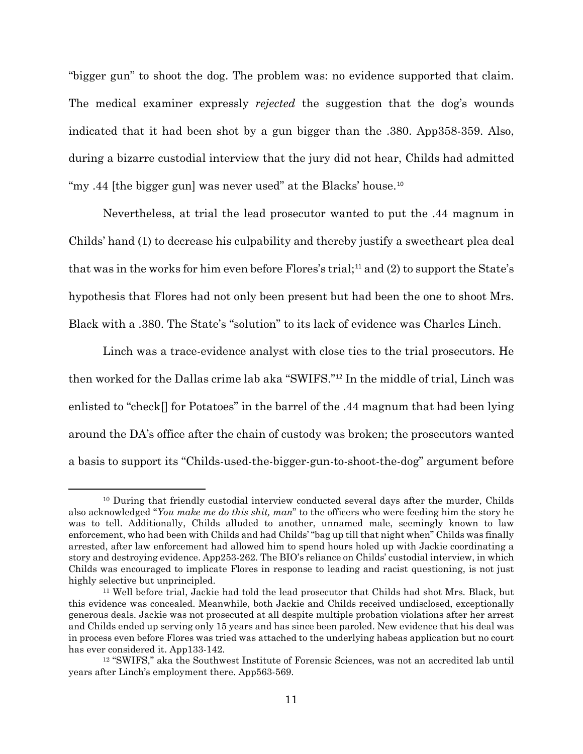"bigger gun" to shoot the dog. The problem was: no evidence supported that claim. The medical examiner expressly *rejected* the suggestion that the dog's wounds indicated that it had been shot by a gun bigger than the .380. App358-359. Also, during a bizarre custodial interview that the jury did not hear, Childs had admitted "my .44 [the bigger gun] was never used" at the Blacks' house.<sup>[10](#page-13-0)</sup>

Nevertheless, at trial the lead prosecutor wanted to put the .44 magnum in Childs' hand (1) to decrease his culpability and thereby justify a sweetheart plea deal that was in the works for him even before Flores's trial;<sup>[11](#page-13-1)</sup> and (2) to support the State's hypothesis that Flores had not only been present but had been the one to shoot Mrs. Black with a .380. The State's "solution" to its lack of evidence was Charles Linch.

Linch was a trace-evidence analyst with close ties to the trial prosecutors. He then worked for the Dallas crime lab aka "SWIFS."[12](#page-13-2) In the middle of trial, Linch was enlisted to "check[] for Potatoes" in the barrel of the .44 magnum that had been lying around the DA's office after the chain of custody was broken; the prosecutors wanted a basis to support its "Childs-used-the-bigger-gun-to-shoot-the-dog" argument before

<span id="page-13-0"></span><sup>&</sup>lt;sup>10</sup> During that friendly custodial interview conducted several days after the murder, Childs also acknowledged "*You make me do this shit, man*" to the officers who were feeding him the story he was to tell. Additionally, Childs alluded to another, unnamed male, seemingly known to law enforcement, who had been with Childs and had Childs' "bag up till that night when" Childs was finally arrested, after law enforcement had allowed him to spend hours holed up with Jackie coordinating a story and destroying evidence. App253-262. The BIO's reliance on Childs' custodial interview, in which Childs was encouraged to implicate Flores in response to leading and racist questioning, is not just highly selective but unprincipled.

<span id="page-13-1"></span><sup>11</sup> Well before trial, Jackie had told the lead prosecutor that Childs had shot Mrs. Black, but this evidence was concealed. Meanwhile, both Jackie and Childs received undisclosed, exceptionally generous deals. Jackie was not prosecuted at all despite multiple probation violations after her arrest and Childs ended up serving only 15 years and has since been paroled. New evidence that his deal was in process even before Flores was tried was attached to the underlying habeas application but no court has ever considered it. App133-142.

<span id="page-13-2"></span><sup>12</sup> "SWIFS," aka the Southwest Institute of Forensic Sciences, was not an accredited lab until years after Linch's employment there. App563-569.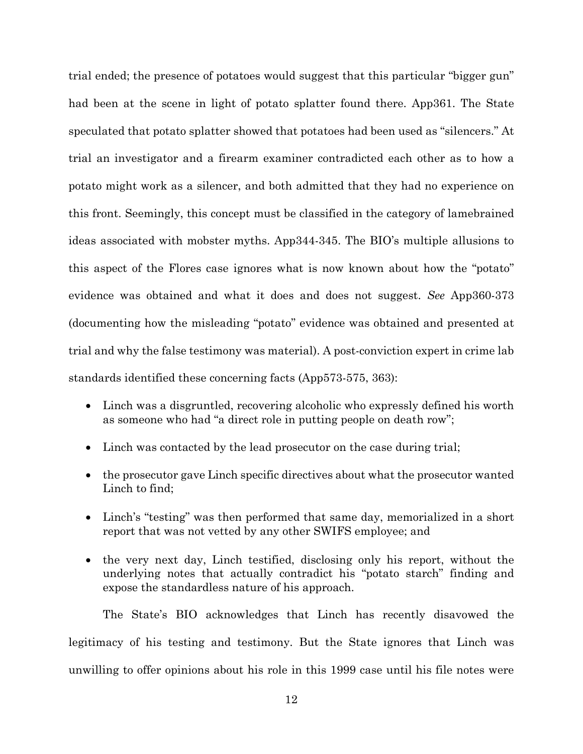trial ended; the presence of potatoes would suggest that this particular "bigger gun" had been at the scene in light of potato splatter found there. App361. The State speculated that potato splatter showed that potatoes had been used as "silencers." At trial an investigator and a firearm examiner contradicted each other as to how a potato might work as a silencer, and both admitted that they had no experience on this front. Seemingly, this concept must be classified in the category of lamebrained ideas associated with mobster myths. App344-345. The BIO's multiple allusions to this aspect of the Flores case ignores what is now known about how the "potato" evidence was obtained and what it does and does not suggest. *See* App360-373 (documenting how the misleading "potato" evidence was obtained and presented at trial and why the false testimony was material). A post-conviction expert in crime lab standards identified these concerning facts (App573-575, 363):

- Linch was a disgruntled, recovering alcoholic who expressly defined his worth as someone who had "a direct role in putting people on death row";
- Linch was contacted by the lead prosecutor on the case during trial;
- the prosecutor gave Linch specific directives about what the prosecutor wanted Linch to find;
- Linch's "testing" was then performed that same day, memorialized in a short report that was not vetted by any other SWIFS employee; and
- the very next day, Linch testified, disclosing only his report, without the underlying notes that actually contradict his "potato starch" finding and expose the standardless nature of his approach.

The State's BIO acknowledges that Linch has recently disavowed the legitimacy of his testing and testimony. But the State ignores that Linch was unwilling to offer opinions about his role in this 1999 case until his file notes were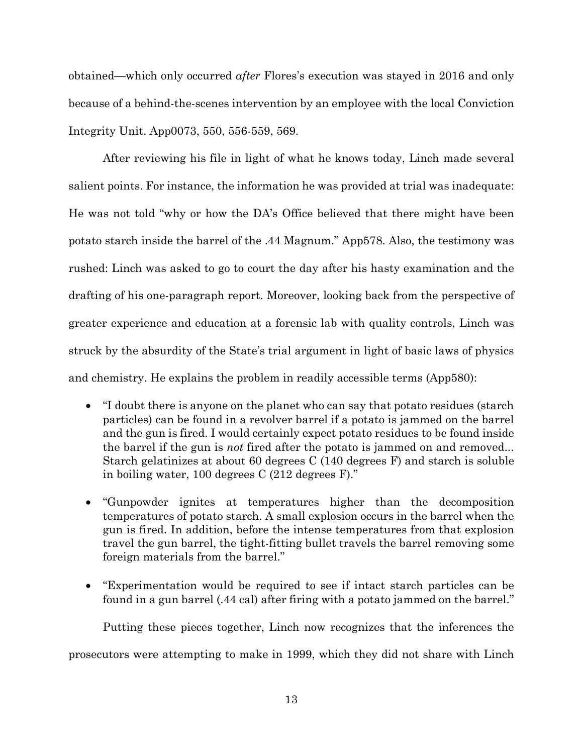obtained—which only occurred *after* Flores's execution was stayed in 2016 and only because of a behind-the-scenes intervention by an employee with the local Conviction Integrity Unit. App0073, 550, 556-559, 569.

After reviewing his file in light of what he knows today, Linch made several salient points. For instance, the information he was provided at trial was inadequate: He was not told "why or how the DA's Office believed that there might have been potato starch inside the barrel of the .44 Magnum." App578. Also, the testimony was rushed: Linch was asked to go to court the day after his hasty examination and the drafting of his one-paragraph report. Moreover, looking back from the perspective of greater experience and education at a forensic lab with quality controls, Linch was struck by the absurdity of the State's trial argument in light of basic laws of physics and chemistry. He explains the problem in readily accessible terms (App580):

- "I doubt there is anyone on the planet who can say that potato residues (starch particles) can be found in a revolver barrel if a potato is jammed on the barrel and the gun is fired. I would certainly expect potato residues to be found inside the barrel if the gun is *not* fired after the potato is jammed on and removed... Starch gelatinizes at about 60 degrees C (140 degrees F) and starch is soluble in boiling water, 100 degrees C (212 degrees F)."
- "Gunpowder ignites at temperatures higher than the decomposition temperatures of potato starch. A small explosion occurs in the barrel when the gun is fired. In addition, before the intense temperatures from that explosion travel the gun barrel, the tight-fitting bullet travels the barrel removing some foreign materials from the barrel."
- "Experimentation would be required to see if intact starch particles can be found in a gun barrel (.44 cal) after firing with a potato jammed on the barrel."

Putting these pieces together, Linch now recognizes that the inferences the

prosecutors were attempting to make in 1999, which they did not share with Linch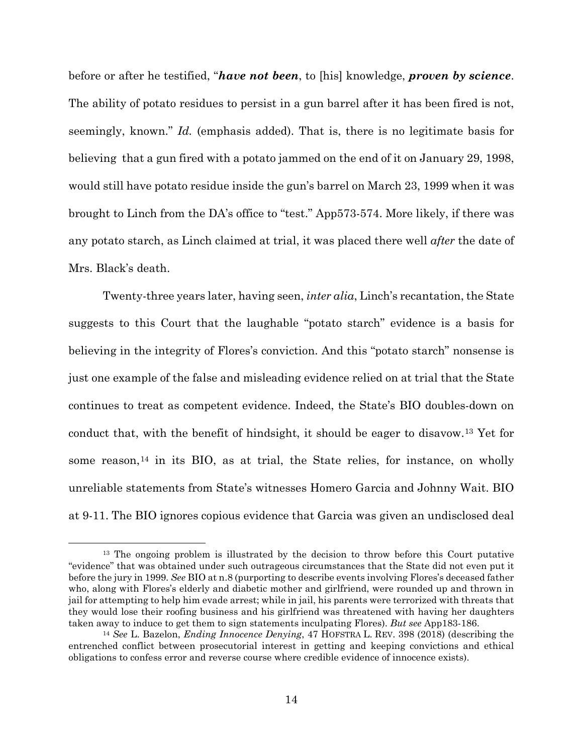<span id="page-16-0"></span>before or after he testified, "*have not been*, to [his] knowledge, *proven by science*. The ability of potato residues to persist in a gun barrel after it has been fired is not, seemingly, known." *Id.* (emphasis added). That is, there is no legitimate basis for believing that a gun fired with a potato jammed on the end of it on January 29, 1998, would still have potato residue inside the gun's barrel on March 23, 1999 when it was brought to Linch from the DA's office to "test." App573-574. More likely, if there was any potato starch, as Linch claimed at trial, it was placed there well *after* the date of Mrs. Black's death.

Twenty-three years later, having seen, *inter alia*, Linch's recantation, the State suggests to this Court that the laughable "potato starch" evidence is a basis for believing in the integrity of Flores's conviction. And this "potato starch" nonsense is just one example of the false and misleading evidence relied on at trial that the State continues to treat as competent evidence. Indeed, the State's BIO doubles-down on conduct that, with the benefit of hindsight, it should be eager to disavow.[13](#page-16-2) Yet for some reason, $^{14}$  $^{14}$  $^{14}$  in its BIO, as at trial, the State relies, for instance, on wholly unreliable statements from State's witnesses Homero Garcia and Johnny Wait. BIO at 9-11. The BIO ignores copious evidence that Garcia was given an undisclosed deal

<span id="page-16-2"></span><sup>&</sup>lt;sup>13</sup> The ongoing problem is illustrated by the decision to throw before this Court putative "evidence" that was obtained under such outrageous circumstances that the State did not even put it before the jury in 1999. *See* BIO at n.8 (purporting to describe events involving Flores's deceased father who, along with Flores's elderly and diabetic mother and girlfriend, were rounded up and thrown in jail for attempting to help him evade arrest; while in jail, his parents were terrorized with threats that they would lose their roofing business and his girlfriend was threatened with having her daughters taken away to induce to get them to sign statements inculpating Flores). *But see* App183-186.

<span id="page-16-3"></span><span id="page-16-1"></span><sup>14</sup> *See* L. Bazelon, *Ending Innocence Denying*, 47 HOFSTRA L. REV. 398 (2018) (describing the entrenched conflict between prosecutorial interest in getting and keeping convictions and ethical obligations to confess error and reverse course where credible evidence of innocence exists).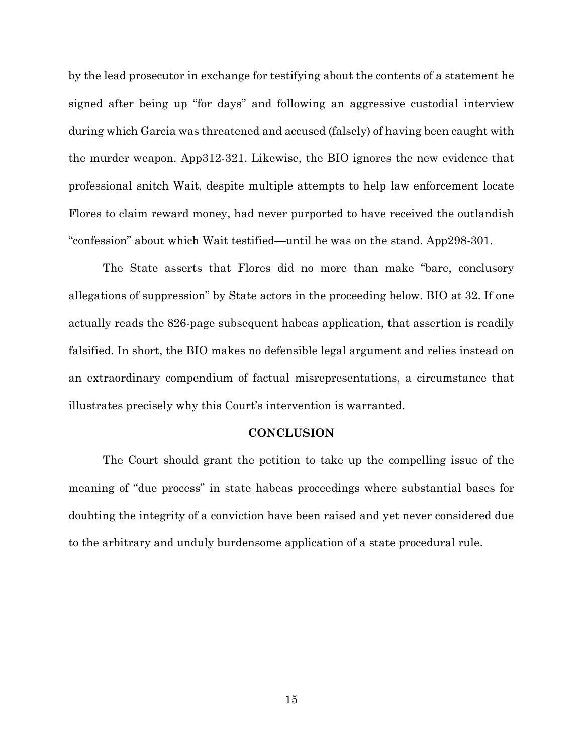by the lead prosecutor in exchange for testifying about the contents of a statement he signed after being up "for days" and following an aggressive custodial interview during which Garcia was threatened and accused (falsely) of having been caught with the murder weapon. App312-321. Likewise, the BIO ignores the new evidence that professional snitch Wait, despite multiple attempts to help law enforcement locate Flores to claim reward money, had never purported to have received the outlandish "confession" about which Wait testified—until he was on the stand. App298-301.

The State asserts that Flores did no more than make "bare, conclusory allegations of suppression" by State actors in the proceeding below. BIO at 32. If one actually reads the 826-page subsequent habeas application, that assertion is readily falsified. In short, the BIO makes no defensible legal argument and relies instead on an extraordinary compendium of factual misrepresentations, a circumstance that illustrates precisely why this Court's intervention is warranted.

### **CONCLUSION**

<span id="page-17-0"></span>The Court should grant the petition to take up the compelling issue of the meaning of "due process" in state habeas proceedings where substantial bases for doubting the integrity of a conviction have been raised and yet never considered due to the arbitrary and unduly burdensome application of a state procedural rule.